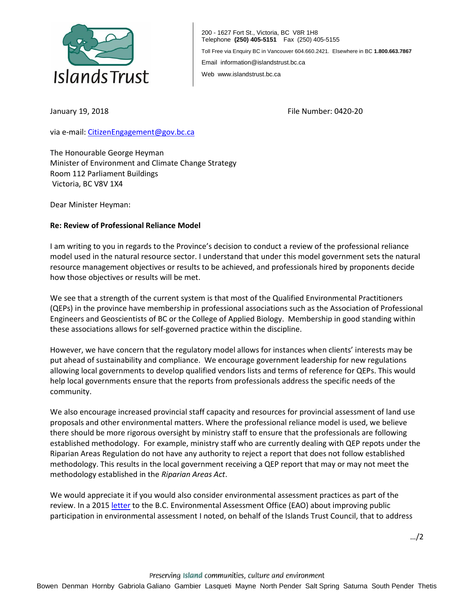

200 - 1627 Fort St., Victoria, BC V8R 1H8 Telephone **(250) 405-5151** Fax (250) 405-5155 Toll Free via Enquiry BC in Vancouver 604.660.2421. Elsewhere in BC **1.800.663.7867** Email information@islandstrust.bc.ca Web www.islandstrust.bc.ca

January 19, 2018

File Number: 0420-20

via e-mail[: CitizenEngagement@gov.bc.ca](mailto:CitizenEngagement@gov.bc.ca)

The Honourable George Heyman Minister of Environment and Climate Change Strategy Room 112 Parliament Buildings Victoria, BC V8V 1X4

Dear Minister Heyman:

## **Re: Review of Professional Reliance Model**

I am writing to you in regards to the Province's decision to conduct a review of the professional reliance model used in the natural resource sector. I understand that under this model government sets the natural resource management objectives or results to be achieved, and professionals hired by proponents decide how those objectives or results will be met.

We see that a strength of the current system is that most of the Qualified Environmental Practitioners (QEPs) in the province have membership in professional associations such as the Association of Professional Engineers and Geoscientists of BC or the College of Applied Biology. Membership in good standing within these associations allows for self-governed practice within the discipline.

However, we have concern that the regulatory model allows for instances when clients' interests may be put ahead of sustainability and compliance. We encourage government leadership for new regulations allowing local governments to develop qualified vendors lists and terms of reference for QEPs. This would help local governments ensure that the reports from professionals address the specific needs of the community.

We also encourage increased provincial staff capacity and resources for provincial assessment of land use proposals and other environmental matters. Where the professional reliance model is used, we believe there should be more rigorous oversight by ministry staff to ensure that the professionals are following established methodology. For example, ministry staff who are currently dealing with QEP repots under the Riparian Areas Regulation do not have any authority to reject a report that does not follow established methodology. This results in the local government receiving a QEP report that may or may not meet the methodology established in the *Riparian Areas Act*.

We would appreciate it if you would also consider environmental assessment practices as part of the review. In a 2015 [letter](http://www.islandstrust.bc.ca/media/317597/BCEAOpublicconsultation.pdf) to the B.C. Environmental Assessment Office (EAO) about improving public participation in environmental assessment I noted, on behalf of the Islands Trust Council, that to address

…/2